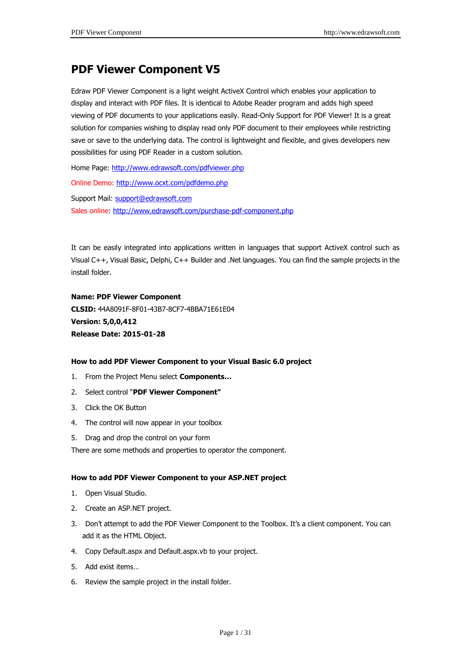# **PDF Viewer Component V5**

Edraw PDF Viewer Component is a light weight ActiveX Control which enables your application to display and interact with PDF files. It is identical to Adobe Reader program and adds high speed viewing of PDF documents to your applications easily. Read-Only Support for PDF Viewer! It is a great solution for companies wishing to display read only PDF document to their employees while restricting save or save to the underlying data. The control is lightweight and flexible, and gives developers new possibilities for using PDF Reader in a custom solution.

Home Page:<http://www.edrawsoft.com/pdfviewer.php>

Online Demo: <http://www.ocxt.com/pdfdemo.php>

Support Mail: [support@edrawsoft.com](mailto:support@edrawsoft.com) Sales online: <http://www.edrawsoft.com/purchase-pdf-component.php>

It can be easily integrated into applications written in languages that support ActiveX control such as Visual C++, Visual Basic, Delphi, C++ Builder and .Net languages. You can find the sample projects in the install folder.

**Name: PDF Viewer Component CLSID:** 44A8091F-8F01-43B7-8CF7-4BBA71E61E04 **Version: 5,0,0,412 Release Date: 2015-01-28**

### **How to add PDF Viewer Component to your Visual Basic 6.0 project**

- 1. From the Project Menu select **Components…**
- 2. Select control "**PDF Viewer Component"**
- 3. Click the OK Button
- 4. The control will now appear in your toolbox
- 5. Drag and drop the control on your form

There are some methods and properties to operator the component.

#### **How to add PDF Viewer Component to your ASP.NET project**

- 1. Open Visual Studio.
- 2. Create an ASP.NET project.
- 3. Don't attempt to add the PDF Viewer Component to the Toolbox. It's a client component. You can add it as the HTML Object.
- 4. Copy Default.aspx and Default.aspx.vb to your project.
- 5. Add exist items…
- 6. Review the sample project in the install folder.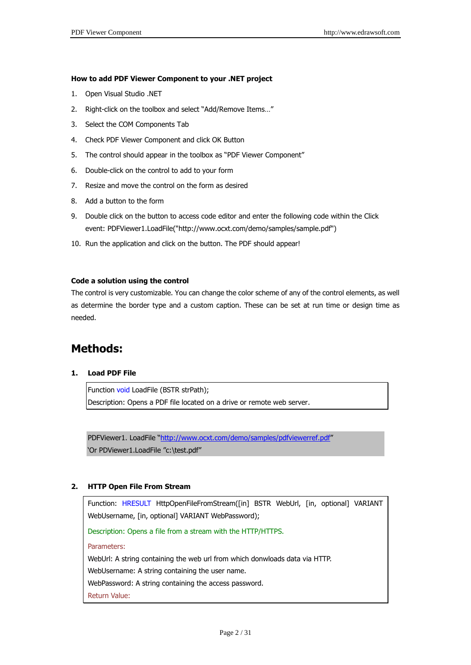### **How to add PDF Viewer Component to your .NET project**

- 1. Open Visual Studio .NET
- 2. Right-click on the toolbox and select "Add/Remove Items…"
- 3. Select the COM Components Tab
- 4. Check PDF Viewer Component and click OK Button
- 5. The control should appear in the toolbox as "PDF Viewer Component"
- 6. Double-click on the control to add to your form
- 7. Resize and move the control on the form as desired
- 8. Add a button to the form
- 9. Double click on the button to access code editor and enter the following code within the Click event: PDFViewer1.LoadFile("http://www.ocxt.com/demo/samples/sample.pdf")
- 10. Run the application and click on the button. The PDF should appear!

### **Code a solution using the control**

The control is very customizable. You can change the color scheme of any of the control elements, as well as determine the border type and a custom caption. These can be set at run time or design time as needed.

# **Methods:**

### **1. Load PDF File**

Function void LoadFile (BSTR strPath); Description: Opens a PDF file located on a drive or remote web server.

PDFViewer1. LoadFile "<http://www.ocxt.com/demo/samples/pdfviewerref.pdf>" 'Or PDViewer1.LoadFile "c:\test.pdf"

### **2. HTTP Open File From Stream**

Function: HRESULT HttpOpenFileFromStream([in] BSTR WebUrl, [in, optional] VARIANT WebUsername, [in, optional] VARIANT WebPassword);

Description: Opens a file from a stream with the HTTP/HTTPS.

Parameters:

WebUrl: A string containing the web url from which donwloads data via HTTP.

WebUsername: A string containing the user name.

WebPassword: A string containing the access password.

Return Value: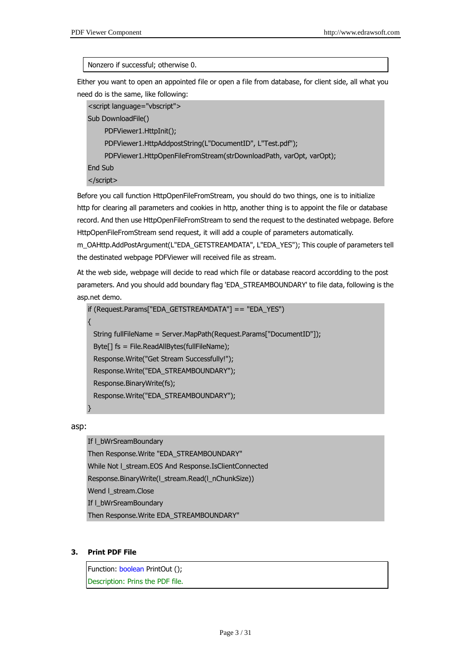### Nonzero if successful; otherwise 0.

Either you want to open an appointed file or open a file from database, for client side, all what you need do is the same, like following:

<script language="vbscript"> Sub DownloadFile() PDFViewer1.HttpInit(); PDFViewer1.HttpAddpostString(L"DocumentID", L"Test.pdf"); PDFViewer1.HttpOpenFileFromStream(strDownloadPath, varOpt, varOpt); End Sub </script>

Before you call function HttpOpenFileFromStream, you should do two things, one is to initialize http for clearing all parameters and cookies in http, another thing is to appoint the file or database record. And then use HttpOpenFileFromStream to send the request to the destinated webpage. Before HttpOpenFileFromStream send request, it will add a couple of parameters automatically.

m\_OAHttp.AddPostArgument(L"EDA\_GETSTREAMDATA", L"EDA\_YES"); This couple of parameters tell the destinated webpage PDFViewer will received file as stream.

At the web side, webpage will decide to read which file or database reacord accordding to the post parameters. And you should add boundary flag 'EDA\_STREAMBOUNDARY' to file data, following is the asp.net demo.

```
if (Request.Params["EDA_GETSTREAMDATA"] == "EDA_YES")
{
 String fullFileName = Server.MapPath(Request.Params["DocumentID"]);
 Byte[] fs = File.ReadAllBytes(fullFileName);
 Response.Write("Get Stream Successfully!");
 Response.Write("EDA_STREAMBOUNDARY");
 Response.BinaryWrite(fs);
```
Response.Write("EDA\_STREAMBOUNDARY");

asp:

}

If l\_bWrSreamBoundary

Then Response.Write "EDA\_STREAMBOUNDARY" While Not l\_stream.EOS And Response.IsClientConnected Response.BinaryWrite(l\_stream.Read(l\_nChunkSize)) Wend I stream.Close If I\_bWrSreamBoundary Then Response.Write EDA\_STREAMBOUNDARY"

### **3. Print PDF File**

Function: boolean PrintOut (); Description: Prins the PDF file.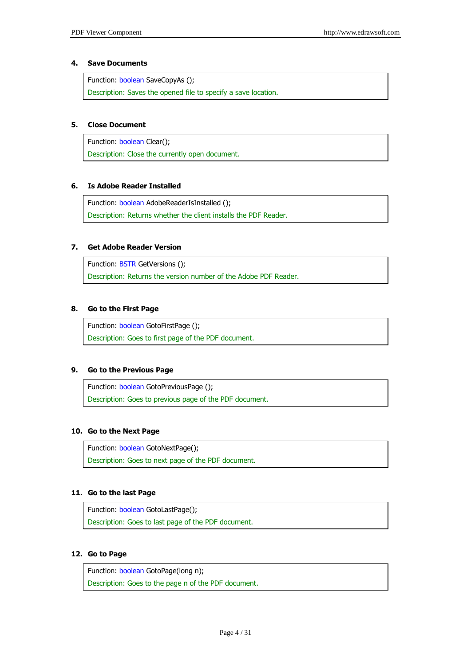### **4. Save Documents**

Function: boolean SaveCopyAs ();

Description: Saves the opened file to specify a save location.

### **5. Close Document**

Function: boolean Clear(); Description: Close the currently open document.

### **6. Is Adobe Reader Installed**

Function: boolean AdobeReaderIsInstalled (); Description: Returns whether the client installs the PDF Reader.

### **7. Get Adobe Reader Version**

Function: BSTR GetVersions (); Description: Returns the version number of the Adobe PDF Reader.

### **8. Go to the First Page**

Function: boolean GotoFirstPage (); Description: Goes to first page of the PDF document.

### **9. Go to the Previous Page**

Function: boolean GotoPreviousPage (); Description: Goes to previous page of the PDF document.

### **10. Go to the Next Page**

Function: boolean GotoNextPage(); Description: Goes to next page of the PDF document.

### **11. Go to the last Page**

Function: boolean GotoLastPage(); Description: Goes to last page of the PDF document.

### **12. Go to Page**

Function: boolean GotoPage(long n); Description: Goes to the page n of the PDF document.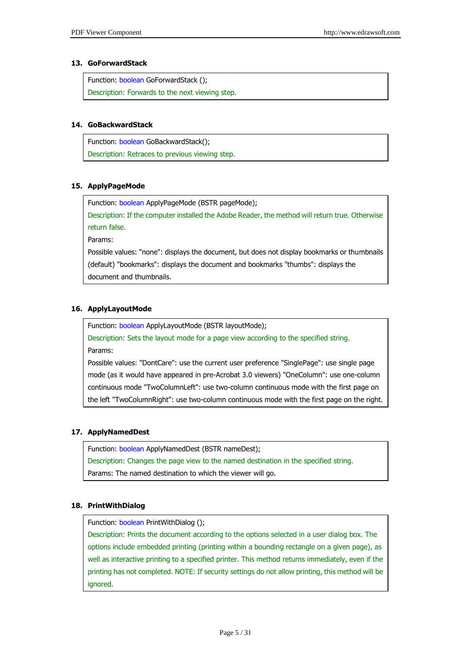### **13. GoForwardStack**

Function: boolean GoForwardStack (); Description: Forwards to the next viewing step.

### **14. GoBackwardStack**

Function: boolean GoBackwardStack(); Description: Retraces to previous viewing step.

### **15. ApplyPageMode**

Function: boolean ApplyPageMode (BSTR pageMode);

Description: If the computer installed the Adobe Reader, the method will return true. Otherwise return false.

Params:

Possible values: "none": displays the document, but does not display bookmarks or thumbnails (default) "bookmarks": displays the document and bookmarks "thumbs": displays the document and thumbnails.

### **16. ApplyLayoutMode**

Function: boolean ApplyLayoutMode (BSTR layoutMode);

Description: Sets the layout mode for a page view according to the specified string. Params:

Possible values: "DontCare": use the current user preference "SinglePage": use single page mode (as it would have appeared in pre-Acrobat 3.0 viewers) "OneColumn": use one-column continuous mode "TwoColumnLeft": use two-column continuous mode with the first page on the left "TwoColumnRight": use two-column continuous mode with the first page on the right.

### **17. ApplyNamedDest**

Function: boolean ApplyNamedDest (BSTR nameDest);

Description: Changes the page view to the named destination in the specified string.

Params: The named destination to which the viewer will go.

### **18. PrintWithDialog**

Function: boolean PrintWithDialog ();

Description: Prints the document according to the options selected in a user dialog box. The options include embedded printing (printing within a bounding rectangle on a given page), as well as interactive printing to a specified printer. This method returns immediately, even if the printing has not completed. NOTE: If security settings do not allow printing, this method will be ignored.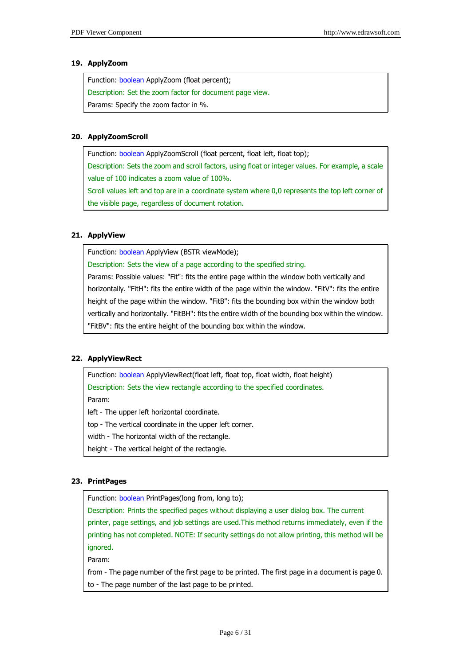### **19. ApplyZoom**

| Function: boolean ApplyZoom (float percent);             |
|----------------------------------------------------------|
| Description: Set the zoom factor for document page view. |
| Params: Specify the zoom factor in %.                    |

### **20. ApplyZoomScroll**

Function: boolean ApplyZoomScroll (float percent, float left, float top);

Description: Sets the zoom and scroll factors, using float or integer values. For example, a scale value of 100 indicates a zoom value of 100%.

Scroll values left and top are in a coordinate system where 0,0 represents the top left corner of the visible page, regardless of document rotation.

### **21. ApplyView**

Function: boolean ApplyView (BSTR viewMode);

Description: Sets the view of a page according to the specified string.

Params: Possible values: "Fit": fits the entire page within the window both vertically and horizontally. "FitH": fits the entire width of the page within the window. "FitV": fits the entire height of the page within the window. "FitB": fits the bounding box within the window both vertically and horizontally. "FitBH": fits the entire width of the bounding box within the window. "FitBV": fits the entire height of the bounding box within the window.

### **22. ApplyViewRect**

Function: boolean ApplyViewRect(float left, float top, float width, float height) Description: Sets the view rectangle according to the specified coordinates.

Param:

left - The upper left horizontal coordinate.

top - The vertical coordinate in the upper left corner.

width - The horizontal width of the rectangle.

height - The vertical height of the rectangle.

### **23. PrintPages**

Function: boolean PrintPages(long from, long to);

Description: Prints the specified pages without displaying a user dialog box. The current printer, page settings, and job settings are used.This method returns immediately, even if the printing has not completed. NOTE: If security settings do not allow printing, this method will be ignored.

Param:

from - The page number of the first page to be printed. The first page in a document is page 0. to - The page number of the last page to be printed.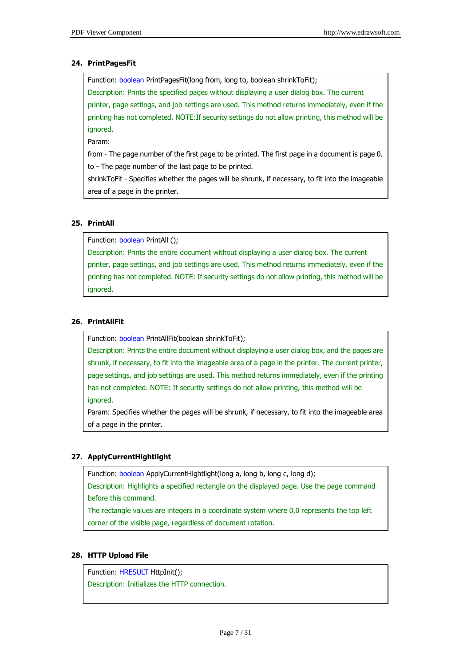### **24. PrintPagesFit**

Function: boolean PrintPagesFit(long from, long to, boolean shrinkToFit); Description: Prints the specified pages without displaying a user dialog box. The current printer, page settings, and job settings are used. This method returns immediately, even if the printing has not completed. NOTE:If security settings do not allow printing, this method will be ignored.

Param:

from - The page number of the first page to be printed. The first page in a document is page 0. to - The page number of the last page to be printed.

shrinkToFit - Specifies whether the pages will be shrunk, if necessary, to fit into the imageable area of a page in the printer.

### **25. PrintAll**

Function: boolean PrintAll ();

Description: Prints the entire document without displaying a user dialog box. The current printer, page settings, and job settings are used. This method returns immediately, even if the printing has not completed. NOTE: If security settings do not allow printing, this method will be ignored.

### **26. PrintAllFit**

Function: boolean PrintAllFit(boolean shrinkToFit);

Description: Prints the entire document without displaying a user dialog box, and the pages are shrunk, if necessary, to fit into the imageable area of a page in the printer. The current printer, page settings, and job settings are used. This method returns immediately, even if the printing has not completed. NOTE: If security settings do not allow printing, this method will be ignored.

Param: Specifies whether the pages will be shrunk, if necessary, to fit into the imageable area of a page in the printer.

### **27. ApplyCurrentHightlight**

Function: boolean ApplyCurrentHightlight(long a, long b, long c, long d);

Description: Highlights a specified rectangle on the displayed page. Use the page command before this command.

The rectangle values are integers in a coordinate system where 0,0 represents the top left corner of the visible page, regardless of document rotation.

### **28. HTTP Upload File**

Function: HRESULT HttpInit(); Description: Initializes the HTTP connection.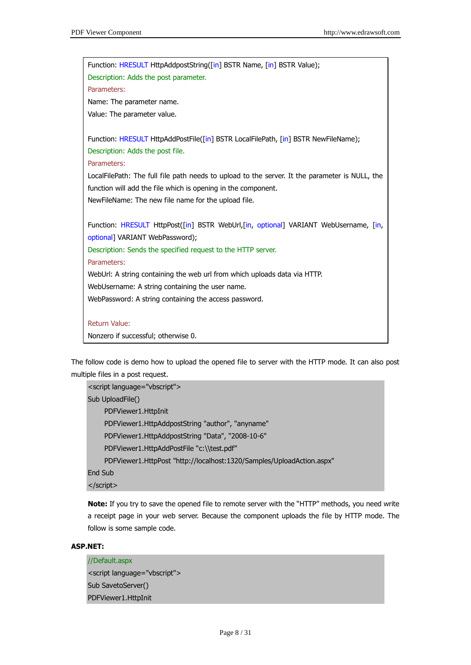

The follow code is demo how to upload the opened file to server with the HTTP mode. It can also post multiple files in a post request.

```
<script language="vbscript">
Sub UploadFile()
     PDFViewer1.HttpInit
     PDFViewer1.HttpAddpostString "author", "anyname"
     PDFViewer1.HttpAddpostString "Data", "2008-10-6"
     PDFViewer1.HttpAddPostFile "c:\\test.pdf"
     PDFViewer1.HttpPost "http://localhost:1320/Samples/UploadAction.aspx" 
End Sub
</script>
```
**Note:** If you try to save the opened file to remote server with the "HTTP" methods, you need write a receipt page in your web server. Because the component uploads the file by HTTP mode. The follow is some sample code.

### **ASP.NET:**

```
//Default.aspx
<script language="vbscript">
Sub SavetoServer()
PDFViewer1.HttpInit
```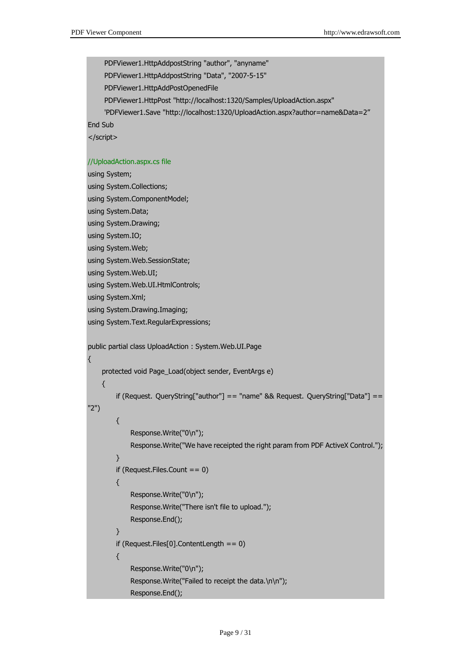PDFViewer1.HttpAddpostString "author", "anyname" PDFViewer1.HttpAddpostString "Data", "2007-5-15" PDFViewer1.HttpAddPostOpenedFile PDFViewer1.HttpPost "http://localhost:1320/Samples/UploadAction.aspx" 'PDFViewer1.Save "http://localhost:1320/UploadAction.aspx?author=name&Data=2" End Sub </script> //UploadAction.aspx.cs file using System; using System.Collections; using System.ComponentModel; using System.Data; using System.Drawing; using System.IO; using System.Web; using System.Web.SessionState; using System.Web.UI; using System.Web.UI.HtmlControls; using System.Xml; using System.Drawing.Imaging; using System.Text.RegularExpressions; public partial class UploadAction : System.Web.UI.Page { protected void Page\_Load(object sender, EventArgs e) { if (Request. QueryString["author"] == "name" && Request. QueryString["Data"] == "2") { Response.Write("0\n"); Response.Write("We have receipted the right param from PDF ActiveX Control."); } if (Request.Files.Count == 0) { Response.Write("0\n"); Response.Write("There isn't file to upload."); Response.End(); } if (Request.Files[0].ContentLength == 0) { Response.Write("0\n"); Response.Write("Failed to receipt the data.\n\n"); Response.End();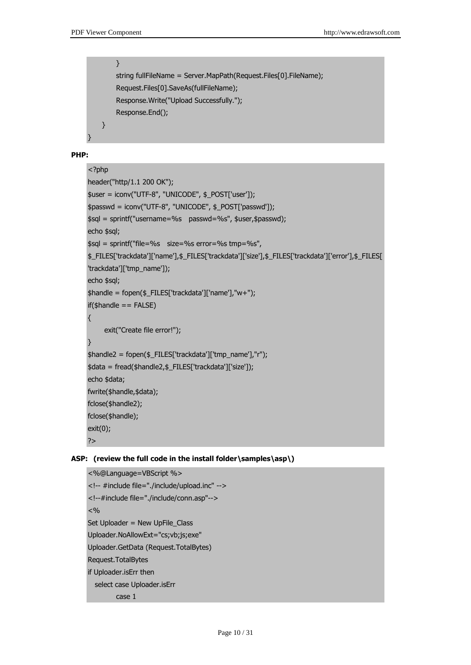}

```
 }
string fullFileName = Server.MapPath(Request.Files[0].FileName);
 Request.Files[0].SaveAs(fullFileName);
 Response.Write("Upload Successfully.");
 Response.End();
```
### **PHP:**

}

```
<?php
header("http/1.1 200 OK");
$user = iconv("UTF-8", "UNICODE", $_POST['user']);
$passwd = iconv("UTF-8", "UNICODE", $_POST['passwd']);
$sql = sprintf("username=%s passwd=%s", $user,$passwd);
echo $sql;
$sql = sprintf("file=%s size=%s error=%s tmp=%s", 
$_FILES['trackdata']['name'],$_FILES['trackdata']['size'],$_FILES['trackdata']['error'],$_FILES[
'trackdata']['tmp_name']);
echo $sql;
$handle = fopen($_FILES['trackdata']['name'],"w+");
if(\text{shandle} == \text{FALSE}){
     exit("Create file error!");
}
$handle2 = fopen($_FILES['trackdata']['tmp_name'],"r");
$data = fread($handle2,$_FILES['trackdata']['size']);
echo $data;
fwrite($handle,$data);
fclose($handle2);
fclose($handle);
exit(0);
?>
```
### **ASP: (review the full code in the install folder\samples\asp\)**

```
<%@Language=VBScript %>
<!-- #include file="./include/upload.inc" -->
<!--#include file="./include/conn.asp"-->
< 0/0Set Uploader = New UpFile_Class
Uploader.NoAllowExt="cs;vb;js;exe" 
Uploader.GetData (Request.TotalBytes)
Request.TotalBytes
if Uploader.isErr then
   select case Uploader.isErr
          case 1
```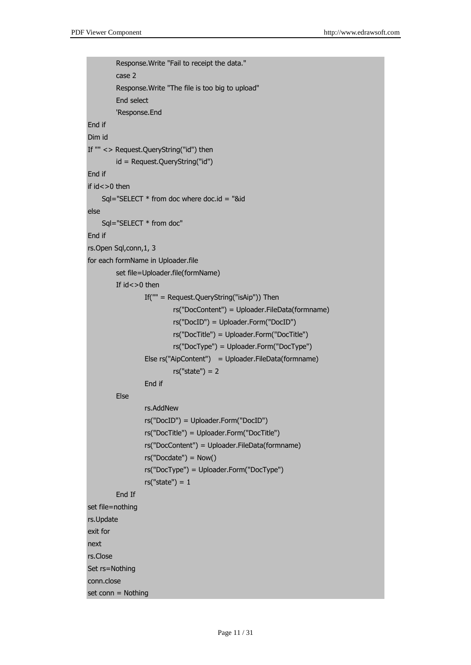```
 Response.Write "Fail to receipt the data."
          case 2
          Response.Write "The file is too big to upload"
          End select
          'Response.End
End if
Dim id 
If "" <> Request.QueryString("id") then 
          id = Request.QueryString("id")
End if
if id<>0 then
    Sql="SELECT * from doc where doc.id = "&id
else
     Sql="SELECT * from doc"
End if
rs.Open Sql,conn,1, 3
for each formName in Uploader.file
          set file=Uploader.file(formName)
         If id < >0 then
                   If("" = Request.QueryString("isAip")) Then 
                            rs("DocContent") = Uploader.FileData(formname) 
                            rs("DocID") = Uploader.Form("DocID")
                            rs("DocTitle") = Uploader.Form("DocTitle")
                            rs("DocType") = Uploader.Form("DocType")
                   Else rs("AipContent") = Uploader.FileData(formname) 
                           rs("state") = 2 End if
          Else 
                   rs.AddNew
                   rs("DocID") = Uploader.Form("DocID")
                   rs("DocTitle") = Uploader.Form("DocTitle")
                   rs("DocContent") = Uploader.FileData(formname) 
                   rs("Docdate") = Now() 
                   rs("DocType") = Uploader.Form("DocType")
                  rs("state") = 1 End If
set file=nothing
rs.Update
exit for 
next
rs.Close
Set rs=Nothing
conn.close
set conn = Nothing
```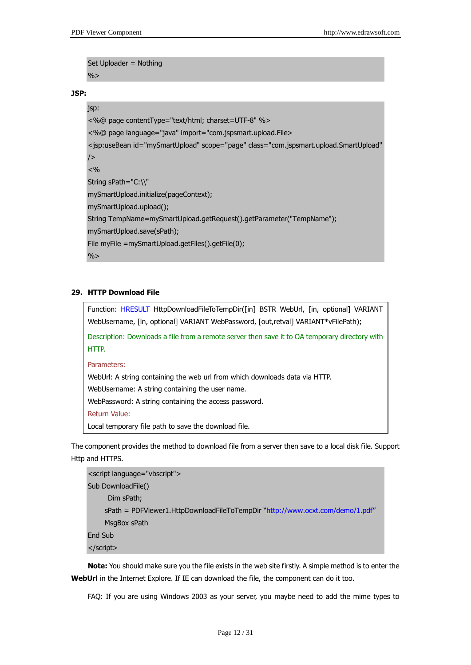Set Uploader = Nothing  $\frac{9}{6}$ 

**JSP:** 

#### jsp:

```
<%@ page contentType="text/html; charset=UTF-8" %>
<%@ page language="java" import="com.jspsmart.upload.File>
<jsp:useBean id="mySmartUpload" scope="page" class="com.jspsmart.upload.SmartUpload" 
/< \frac{0}{0}String sPath="C:\\"
mySmartUpload.initialize(pageContext);
mySmartUpload.upload();
String TempName=mySmartUpload.getRequest().getParameter("TempName");
mySmartUpload.save(sPath);
File myFile =mySmartUpload.getFiles().getFile(0);
\frac{0}{0}
```
### **29. HTTP Download File**

Function: HRESULT HttpDownloadFileToTempDir([in] BSTR WebUrl, [in, optional] VARIANT WebUsername, [in, optional] VARIANT WebPassword, [out,retval] VARIANT\*vFilePath);

Description: Downloads a file from a remote server then save it to OA temporary directory with HTTP.

Parameters:

WebUrl: A string containing the web url from which downloads data via HTTP.

WebUsername: A string containing the user name.

WebPassword: A string containing the access password.

Return Value:

Local temporary file path to save the download file.

The component provides the method to download file from a server then save to a local disk file. Support Http and HTTPS.

```
<script language="vbscript">
Sub DownloadFile()
    Dim sPath;
   http://www.ocxt.com/demo/1.pdf"
   MsgBox sPath
End Sub
</script>
```
**Note:** You should make sure you the file exists in the web site firstly. A simple method is to enter the **WebUrl** in the Internet Explore. If IE can download the file, the component can do it too.

FAQ: If you are using Windows 2003 as your server, you maybe need to add the mime types to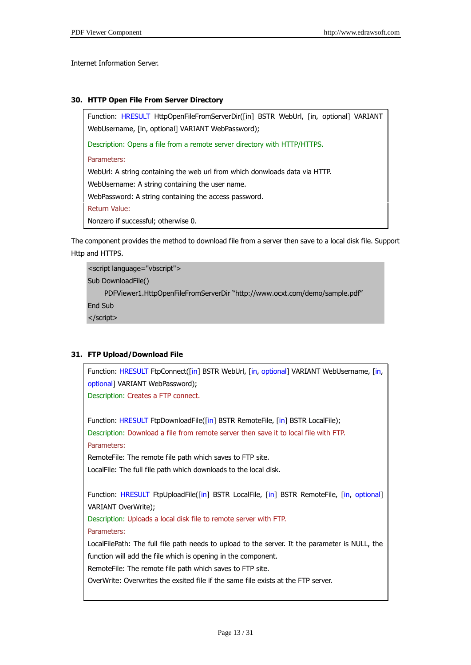Internet Information Server.

### **30. HTTP Open File From Server Directory**

Function: HRESULT HttpOpenFileFromServerDir([in] BSTR WebUrl, [in, optional] VARIANT WebUsername, [in, optional] VARIANT WebPassword); Description: Opens a file from a remote server directory with HTTP/HTTPS.

Parameters:

WebUrl: A string containing the web url from which donwloads data via HTTP.

WebUsername: A string containing the user name.

WebPassword: A string containing the access password.

Return Value:

Nonzero if successful; otherwise 0.

The component provides the method to download file from a server then save to a local disk file. Support Http and HTTPS.

<script language="vbscript"> Sub DownloadFile() PDFViewer1.HttpOpenFileFromServerDir "http://www.ocxt.com/demo/sample.pdf" End Sub </script>

### **31. FTP Upload/Download File**

Function: HRESULT FtpConnect([in] BSTR WebUrl, [in, optional] VARIANT WebUsername, [in, optional] VARIANT WebPassword); Description: Creates a FTP connect. Function: HRESULT FtpDownloadFile([in] BSTR RemoteFile, [in] BSTR LocalFile); Description: Download a file from remote server then save it to local file with FTP. Parameters: RemoteFile: The remote file path which saves to FTP site. LocalFile: The full file path which downloads to the local disk. Function: HRESULT FtpUploadFile([in] BSTR LocalFile, [in] BSTR RemoteFile, [in, optional] VARIANT OverWrite); Description: Uploads a local disk file to remote server with FTP. Parameters: LocalFilePath: The full file path needs to upload to the server. It the parameter is NULL, the function will add the file which is opening in the component. RemoteFile: The remote file path which saves to FTP site. OverWrite: Overwrites the exsited file if the same file exists at the FTP server.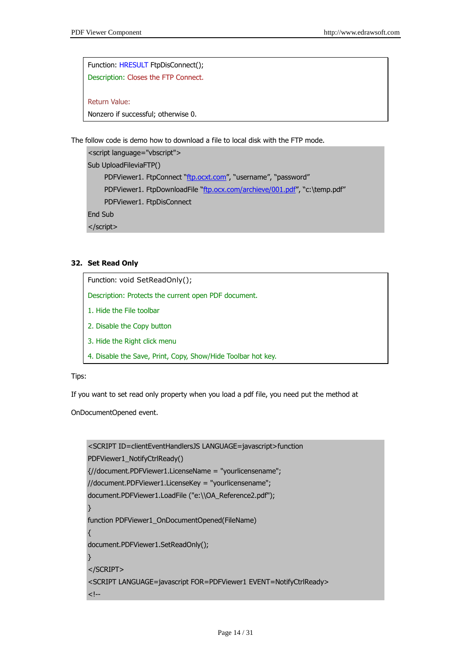Function: HRESULT FtpDisConnect(); Description: Closes the FTP Connect.

Return Value:

Nonzero if successful; otherwise 0.

The follow code is demo how to download a file to local disk with the FTP mode.

<script language="vbscript"> Sub UploadFileviaFTP() PDFViewer1. FtpConnect "[ftp.ocxt.com](ftp://ftp.ocxt.com/)", "username", "password" PDFViewer1. FtpDownloadFile "[ftp.ocx.com/archieve/001.pdf](ftp://ftp.ocx.com/archieve/001.pdf)", "c:\temp.pdf" PDFViewer1. FtpDisConnect End Sub </script>

### **32. Set Read Only**

Function: void SetReadOnly(); Description: Protects the current open PDF document. 1. Hide the File toolbar 2. Disable the Copy button 3. Hide the Right click menu 4. Disable the Save, Print, Copy, Show/Hide Toolbar hot key.

### Tips:

If you want to set read only property when you load a pdf file, you need put the method at

OnDocumentOpened event.

```
<SCRIPT ID=clientEventHandlersJS LANGUAGE=javascript>function 
PDFViewer1_NotifyCtrlReady()
{//document.PDFViewer1.LicenseName = "yourlicensename";
//document.PDFViewer1.LicenseKey = "yourlicensename";
document.PDFViewer1.LoadFile ("e:\\OA_Reference2.pdf");
}
function PDFViewer1_OnDocumentOpened(FileName)
{
document.PDFViewer1.SetReadOnly();
}
</SCRIPT>
<SCRIPT LANGUAGE=javascript FOR=PDFViewer1 EVENT=NotifyCtrlReady>
<!--
```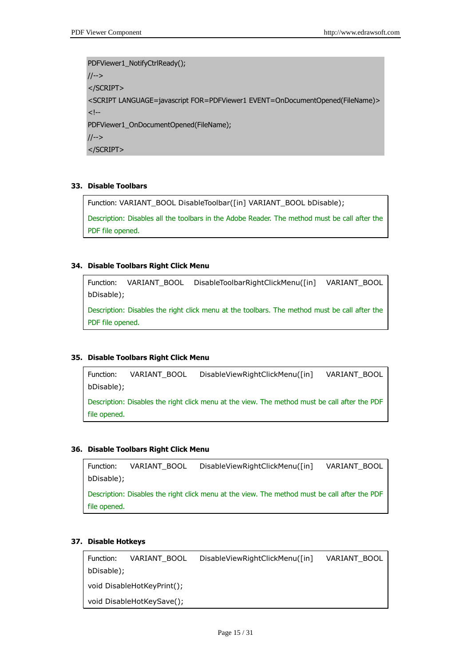```
PDFViewer1_NotifyCtrlReady();
//-->
</SCRIPT>
<SCRIPT LANGUAGE=javascript FOR=PDFViewer1 EVENT=OnDocumentOpened(FileName)>
\lt!!--
PDFViewer1_OnDocumentOpened(FileName);
//-->
</SCRIPT>
```
### **33. Disable Toolbars**

Function: VARIANT\_BOOL DisableToolbar([in] VARIANT\_BOOL bDisable);

Description: Disables all the toolbars in the Adobe Reader. The method must be call after the PDF file opened.

### **34. Disable Toolbars Right Click Menu**

Function: VARIANT\_BOOL DisableToolbarRightClickMenu([in] VARIANT\_BOOL bDisable);

Description: Disables the right click menu at the toolbars. The method must be call after the PDF file opened.

### **35. Disable Toolbars Right Click Menu**

Function: VARIANT\_BOOL DisableViewRightClickMenu([in] VARIANT\_BOOL bDisable); Description: Disables the right click menu at the view. The method must be call after the PDF file opened.

### **36. Disable Toolbars Right Click Menu**

```
Function: VARIANT_BOOL DisableViewRightClickMenu([in] VARIANT_BOOL 
bDisable);
Description: Disables the right click menu at the view. The method must be call after the PDF 
file opened.
```
### **37. Disable Hotkeys**

Function: VARIANT\_BOOL DisableViewRightClickMenu([in] VARIANT\_BOOL bDisable); void DisableHotKeyPrint(); void DisableHotKeySave();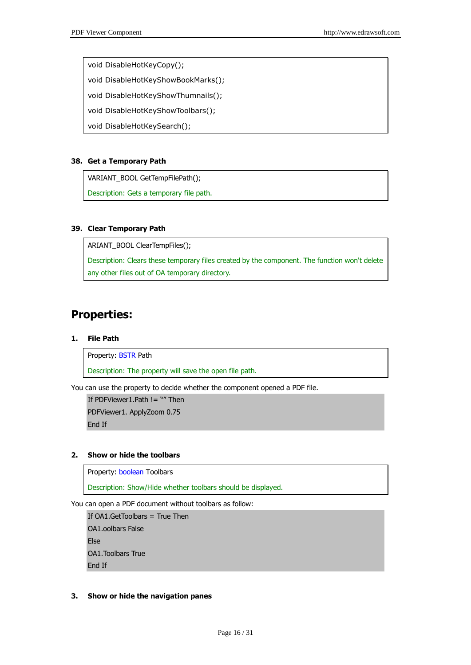void DisableHotKeyCopy();

void DisableHotKeyShowBookMarks();

void DisableHotKeyShowThumnails();

void DisableHotKeyShowToolbars();

void DisableHotKeySearch();

### **38. Get a Temporary Path**

VARIANT\_BOOL GetTempFilePath();

Description: Gets a temporary file path.

### **39. Clear Temporary Path**

ARIANT\_BOOL ClearTempFiles();

Description: Clears these temporary files created by the component. The function won't delete any other files out of OA temporary directory.

# **Properties:**

### **1. File Path**

Property: BSTR Path

Description: The property will save the open file path.

You can use the property to decide whether the component opened a PDF file.

If PDFViewer1.Path != "" Then PDFViewer1. ApplyZoom 0.75 End If

### **2. Show or hide the toolbars**

Property: boolean Toolbars

Description: Show/Hide whether toolbars should be displayed.

You can open a PDF document without toolbars as follow:

If OA1.GetToolbars = True Then OA1.oolbars False Else OA1.Toolbars True End If

### **3. Show or hide the navigation panes**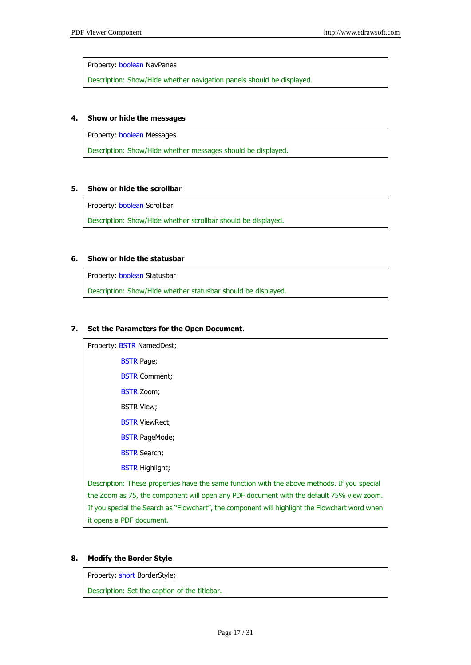Property: boolean NavPanes

Description: Show/Hide whether navigation panels should be displayed.

### **4. Show or hide the messages**

Property: boolean Messages

Description: Show/Hide whether messages should be displayed.

### **5. Show or hide the scrollbar**

Property: boolean Scrollbar

Description: Show/Hide whether scrollbar should be displayed.

### **6. Show or hide the statusbar**

Property: boolean Statusbar

Description: Show/Hide whether statusbar should be displayed.

### **7. Set the Parameters for the Open Document.**

Property: BSTR NamedDest; BSTR Page; **BSTR Comment;** BSTR Zoom; BSTR View; **BSTR ViewRect;** BSTR PageMode; **BSTR Search;** BSTR Highlight; Description: These properties have the same function with the above methods. If you special the Zoom as 75, the component will open any PDF document with the default 75% view zoom. If you special the Search as "Flowchart", the component will highlight the Flowchart word when it opens a PDF document.

### **8. Modify the Border Style**

Property: short BorderStyle;

Description: Set the caption of the titlebar.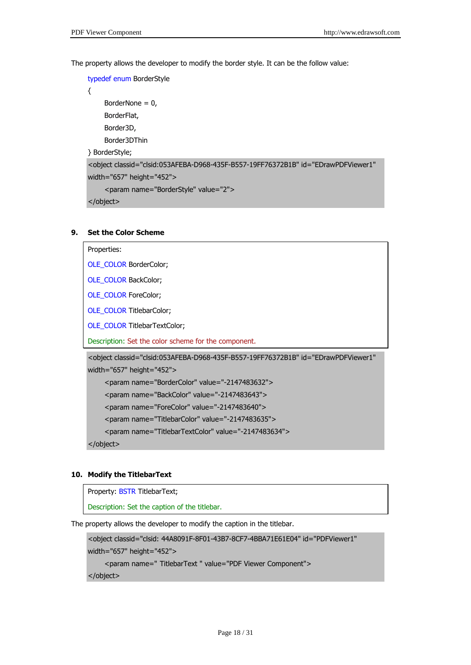The property allows the developer to modify the border style. It can be the follow value:

typedef enum BorderStyle

{ BorderNone  $= 0$ , BorderFlat, Border3D, Border3DThin } BorderStyle;

```
<object classid="clsid:053AFEBA-D968-435F-B557-19FF76372B1B" id="EDrawPDFViewer1" 
width="657" height="452">
     <param name="BorderStyle" value="2">
```
</object>

### **9. Set the Color Scheme**

```
Properties:
OLE_COLOR BorderColor;
OLE_COLOR BackColor;
OLE_COLOR ForeColor;
OLE_COLOR TitlebarColor;
OLE_COLOR TitlebarTextColor;
Description: Set the color scheme for the component.
<object classid="clsid:053AFEBA-D968-435F-B557-19FF76372B1B" id="EDrawPDFViewer1" 
width="657" height="452">
    <param name="BorderColor" value="-2147483632">
    <param name="BackColor" value="-2147483643">
    <param name="ForeColor" value="-2147483640">
    <param name="TitlebarColor" value="-2147483635">
     <param name="TitlebarTextColor" value="-2147483634">
```
</object>

### **10. Modify the TitlebarText**

Property: BSTR TitlebarText;

Description: Set the caption of the titlebar.

The property allows the developer to modify the caption in the titlebar.

```
<object classid="clsid: 44A8091F-8F01-43B7-8CF7-4BBA71E61E04" id="PDFViewer1" 
width="657" height="452">
     <param name=" TitlebarText " value="PDF Viewer Component">
</object>
```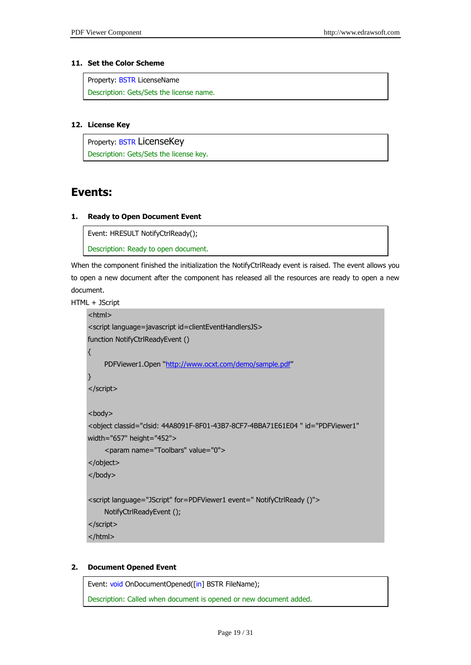### **11. Set the Color Scheme**

Property: BSTR LicenseName Description: Gets/Sets the license name.

### **12. License Key**

Property: BSTR LicenseKey Description: Gets/Sets the license key.

# **Events:**

### **1. Ready to Open Document Event**

Event: HRESULT NotifyCtrlReady(); Description: Ready to open document.

When the component finished the initialization the NotifyCtrlReady event is raised. The event allows you to open a new document after the component has released all the resources are ready to open a new document.

HTML + JScript

```
<html>
<script language=javascript id=clientEventHandlersJS> 
function NotifyCtrlReadyEvent ()
{
     PDFViewer1.Open "http://www.ocxt.com/demo/sample.pdf"
}
</script>
<body>
<object classid="clsid: 44A8091F-8F01-43B7-8CF7-4BBA71E61E04 " id="PDFViewer1" 
width="657" height="452">
     <param name="Toolbars" value="0">
</object>
</body>
<script language="JScript" for=PDFViewer1 event=" NotifyCtrlReady ()"> 
     NotifyCtrlReadyEvent ();
</script> 
</html>
```
### **2. Document Opened Event**

Event: void OnDocumentOpened([in] BSTR FileName); Description: Called when document is opened or new document added.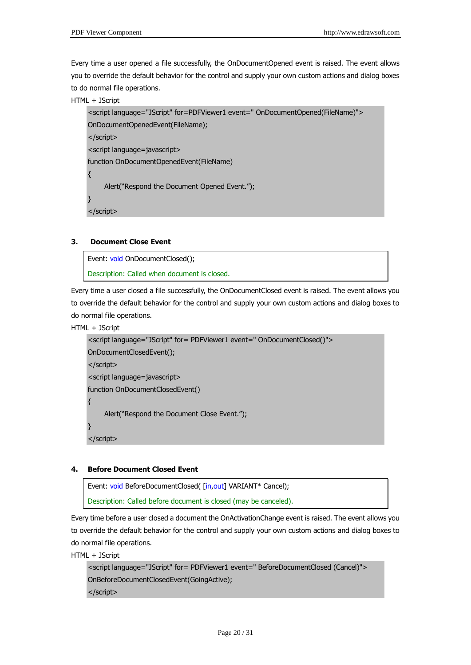Every time a user opened a file successfully, the OnDocumentOpened event is raised. The event allows you to override the default behavior for the control and supply your own custom actions and dialog boxes to do normal file operations.

```
HTML + JScript
```

```
<script language="JScript" for=PDFViewer1 event=" OnDocumentOpened(FileName)"> 
OnDocumentOpenedEvent(FileName);
</script> 
<script language=javascript> 
function OnDocumentOpenedEvent(FileName) 
{
    Alert("Respond the Document Opened Event.");
}
</script>
```
### **3. Document Close Event**

```
Event: void OnDocumentClosed();
Description: Called when document is closed.
```
Every time a user closed a file successfully, the OnDocumentClosed event is raised. The event allows you to override the default behavior for the control and supply your own custom actions and dialog boxes to do normal file operations.

HTML + JScript

```
<script language="JScript" for= PDFViewer1 event=" OnDocumentClosed()"> 
OnDocumentClosedEvent();
</script> 
<script language=javascript> 
function OnDocumentClosedEvent() 
{
     Alert("Respond the Document Close Event.");
}
</script>
```
#### **4. Before Document Closed Event**

```
Event: void BeforeDocumentClosed( [in,out] VARIANT* Cancel);
Description: Called before document is closed (may be canceled).
```
Every time before a user closed a document the OnActivationChange event is raised. The event allows you to override the default behavior for the control and supply your own custom actions and dialog boxes to do normal file operations.

HTML + JScript

```
<script language="JScript" for= PDFViewer1 event=" BeforeDocumentClosed (Cancel)"> 
OnBeforeDocumentClosedEvent(GoingActive);
</script>
```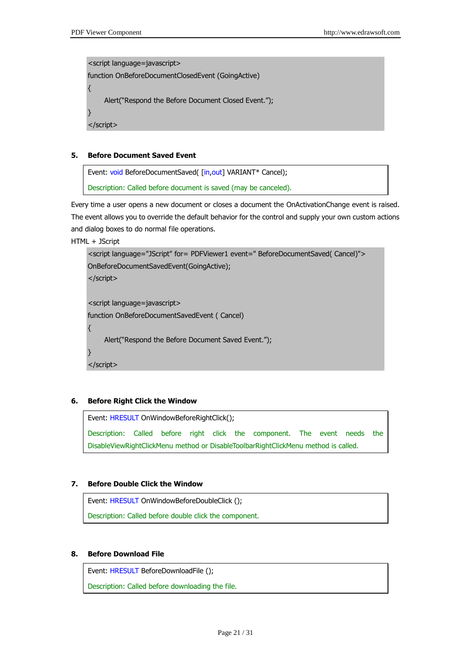<script language=javascript> function OnBeforeDocumentClosedEvent (GoingActive) { Alert("Respond the Before Document Closed Event."); } </script>

### **5. Before Document Saved Event**

Event: void BeforeDocumentSaved( [in, out] VARIANT\* Cancel); Description: Called before document is saved (may be canceled).

Every time a user opens a new document or closes a document the OnActivationChange event is raised. The event allows you to override the default behavior for the control and supply your own custom actions and dialog boxes to do normal file operations.

HTML + JScript

```
<script language="JScript" for= PDFViewer1 event=" BeforeDocumentSaved( Cancel)"> 
OnBeforeDocumentSavedEvent(GoingActive);
</script> 
<script language=javascript> 
function OnBeforeDocumentSavedEvent ( Cancel)
{
     Alert("Respond the Before Document Saved Event.");
}
</script>
```
### **6. Before Right Click the Window**

Event: HRESULT OnWindowBeforeRightClick();

Description: Called before right click the component. The event needs the DisableViewRightClickMenu method or DisableToolbarRightClickMenu method is called.

### **7. Before Double Click the Window**

Event: HRESULT OnWindowBeforeDoubleClick ();

Description: Called before double click the component.

### **8. Before Download File**

Event: HRESULT BeforeDownloadFile ();

Description: Called before downloading the file.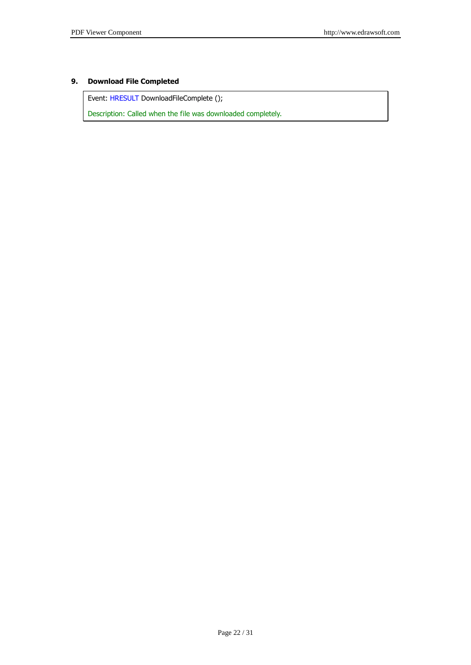### **9. Download File Completed**

Event: HRESULT DownloadFileComplete ();

Description: Called when the file was downloaded completely.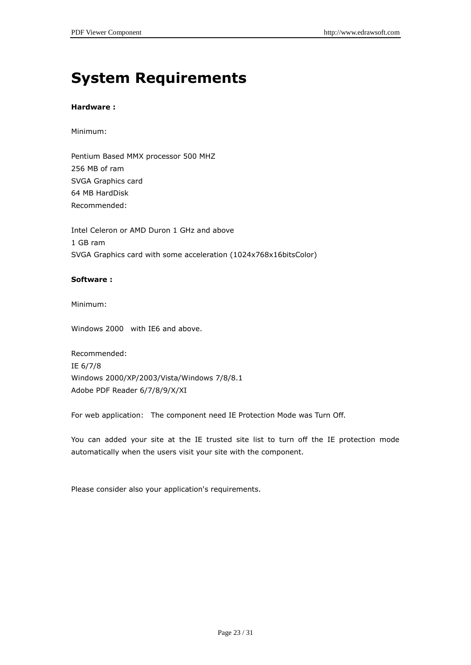# **System Requirements**

### **Hardware :**

### Minimum:

Pentium Based MMX processor 500 MHZ 256 MB of ram SVGA Graphics card 64 MB HardDisk Recommended:

Intel Celeron or AMD Duron 1 GHz and above 1 GB ram SVGA Graphics card with some acceleration (1024x768x16bitsColor)

### **Software :**

Minimum:

Windows 2000 with IE6 and above.

Recommended: IE 6/7/8 Windows 2000/XP/2003/Vista/Windows 7/8/8.1 Adobe PDF Reader 6/7/8/9/X/XI

For web application: The component need IE Protection Mode was Turn Off.

You can added your site at the IE trusted site list to turn off the IE protection mode automatically when the users visit your site with the component.

Please consider also your application's requirements.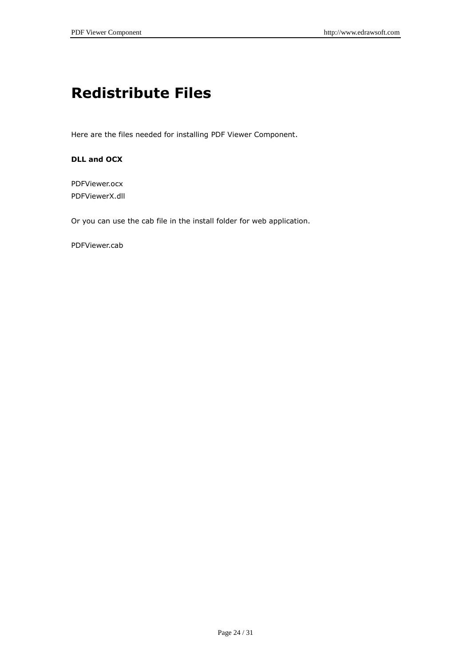# **Redistribute Files**

Here are the files needed for installing PDF Viewer Component.

### **DLL and OCX**

PDFViewer.ocx PDFViewerX.dll

Or you can use the cab file in the install folder for web application.

PDFViewer.cab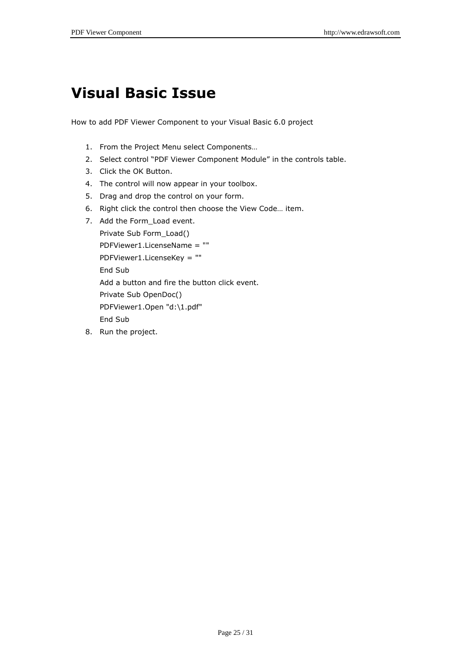# **Visual Basic Issue**

How to add PDF Viewer Component to your Visual Basic 6.0 project

- 1. From the Project Menu select Components…
- 2. Select control "PDF Viewer Component Module" in the controls table.
- 3. Click the OK Button.
- 4. The control will now appear in your toolbox.
- 5. Drag and drop the control on your form.
- 6. Right click the control then choose the View Code… item.
- 7. Add the Form Load event.

```
Private Sub Form_Load()
PDFViewer1.LicenseName = ""
PDFViewer1.LicenseKey = ""
End Sub
Add a button and fire the button click event.
Private Sub OpenDoc()
PDFViewer1.Open "d:\1.pdf"
End Sub
```
8. Run the project.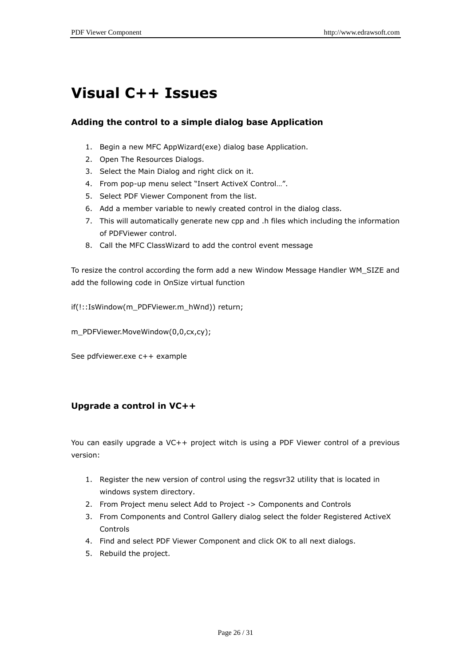# **Visual C++ Issues**

### **Adding the control to a simple dialog base Application**

- 1. Begin a new MFC AppWizard(exe) dialog base Application.
- 2. Open The Resources Dialogs.
- 3. Select the Main Dialog and right click on it.
- 4. From pop-up menu select "Insert ActiveX Control…".
- 5. Select PDF Viewer Component from the list.
- 6. Add a member variable to newly created control in the dialog class.
- 7. This will automatically generate new cpp and .h files which including the information of PDFViewer control.
- 8. Call the MFC ClassWizard to add the control event message

To resize the control according the form add a new Window Message Handler WM\_SIZE and add the following code in OnSize virtual function

if(!::IsWindow(m\_PDFViewer.m\_hWnd)) return;

m\_PDFViewer.MoveWindow(0,0,cx,cy);

See pdfviewer.exe c++ example

### **Upgrade a control in VC++**

You can easily upgrade a VC++ project witch is using a PDF Viewer control of a previous version:

- 1. Register the new version of control using the regsvr32 utility that is located in windows system directory.
- 2. From Project menu select Add to Project -> Components and Controls
- 3. From Components and Control Gallery dialog select the folder Registered ActiveX Controls
- 4. Find and select PDF Viewer Component and click OK to all next dialogs.
- 5. Rebuild the project.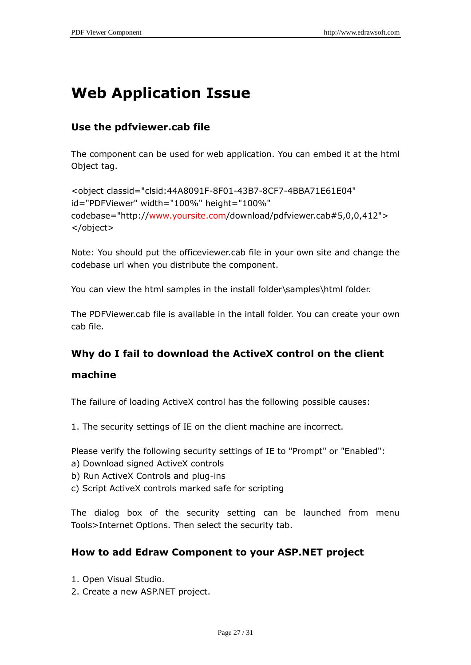# **Web Application Issue**

# **Use the pdfviewer.cab file**

The component can be used for web application. You can embed it at the html Object tag.

```
<object classid="clsid:44A8091F-8F01-43B7-8CF7-4BBA71E61E04" 
id="PDFViewer" width="100%" height="100%" 
codebase="http://www.yoursite.com/download/pdfviewer.cab#5,0,0,412">
</object>
```
Note: You should put the officeviewer.cab file in your own site and change the codebase url when you distribute the component.

You can view the html samples in the install folder\samples\html folder.

The PDFViewer.cab file is available in the intall folder. You can create your own cab file.

# **Why do I fail to download the ActiveX control on the client**

### **machine**

The failure of loading ActiveX control has the following possible causes:

1. The security settings of IE on the client machine are incorrect.

Please verify the following security settings of IE to "Prompt" or "Enabled":

- a) Download signed ActiveX controls
- b) Run ActiveX Controls and plug-ins
- c) Script ActiveX controls marked safe for scripting

The dialog box of the security setting can be launched from menu Tools>Internet Options. Then select the security tab.

# **How to add Edraw Component to your ASP.NET project**

- 1. Open Visual Studio.
- 2. Create a new ASP.NET project.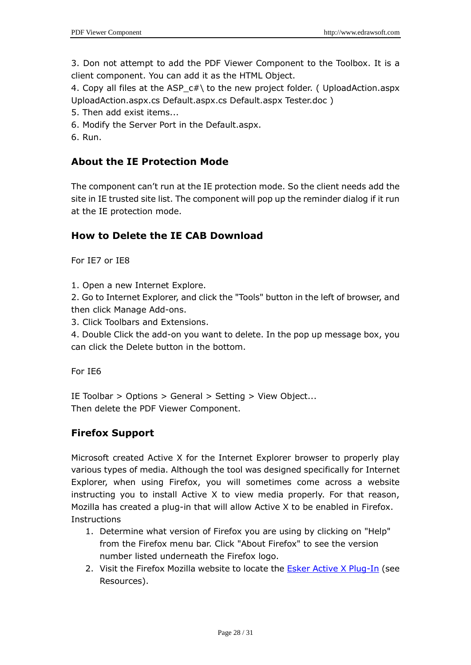3. Don not attempt to add the PDF Viewer Component to the Toolbox. It is a client component. You can add it as the HTML Object.

4. Copy all files at the ASP\_c#\ to the new project folder. ( UploadAction.aspx UploadAction.aspx.cs Default.aspx.cs Default.aspx Tester.doc )

- 5. Then add exist items...
- 6. Modify the Server Port in the Default.aspx.
- 6. Run.

# **About the IE Protection Mode**

The component can't run at the IE protection mode. So the client needs add the site in IE trusted site list. The component will pop up the reminder dialog if it run at the IE protection mode.

## **How to Delete the IE CAB Download**

For IE7 or IE8

1. Open a new Internet Explore.

2. Go to Internet Explorer, and click the "Tools" button in the left of browser, and then click Manage Add-ons.

3. Click Toolbars and Extensions.

4. Double Click the add-on you want to delete. In the pop up message box, you can click the Delete button in the bottom.

For IE6

IE Toolbar > Options > General > Setting > View Object... Then delete the PDF Viewer Component.

## **Firefox Support**

Microsoft created Active X for the Internet Explorer browser to properly play various types of media. Although the tool was designed specifically for Internet Explorer, when using Firefox, you will sometimes come across a website instructing you to install Active X to view media properly. For that reason, Mozilla has created a plug-in that will allow Active X to be enabled in Firefox. Instructions

- 1. Determine what version of Firefox you are using by clicking on "Help" from the Firefox menu bar. Click "About Firefox" to see the version number listed underneath the Firefox logo.
- 2. Visit the Firefox Mozilla website to locate the [Esker Active X Plug-In](http://www.esker.com/fm/others/DL_ActiveX/) (see Resources).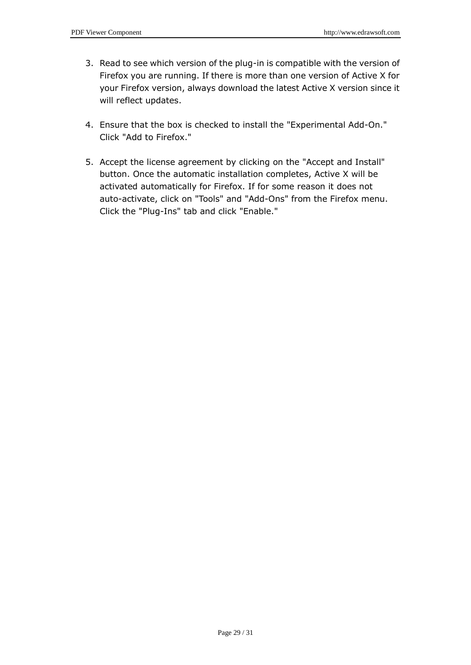- 3. Read to see which version of the plug-in is compatible with the version of Firefox you are running. If there is more than one version of Active X for your Firefox version, always download the latest Active X version since it will reflect updates.
- 4. Ensure that the box is checked to install the "Experimental Add-On." Click "Add to Firefox."
- 5. Accept the license agreement by clicking on the "Accept and Install" button. Once the automatic installation completes, Active X will be activated automatically for Firefox. If for some reason it does not auto-activate, click on "Tools" and "Add-Ons" from the Firefox menu. Click the "Plug-Ins" tab and click "Enable."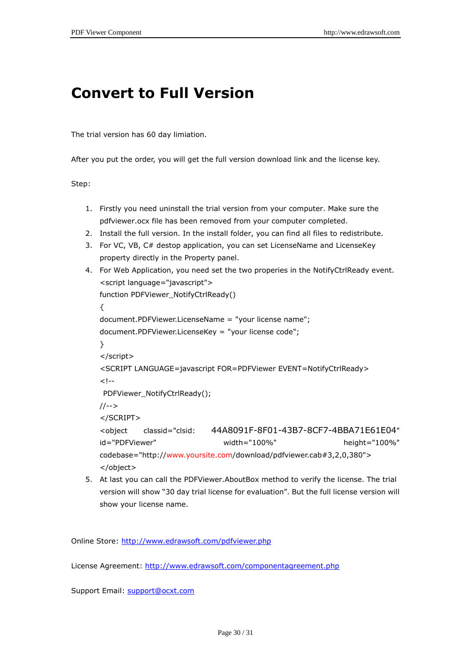# **Convert to Full Version**

The trial version has 60 day limiation.

After you put the order, you will get the full version download link and the license key.

Step:

- 1. Firstly you need uninstall the trial version from your computer. Make sure the pdfviewer.ocx file has been removed from your computer completed.
- 2. Install the full version. In the install folder, you can find all files to redistribute.
- 3. For VC, VB, C# destop application, you can set LicenseName and LicenseKey property directly in the Property panel.

```
4. For Web Application, you need set the two properies in the NotifyCtrlReady event.
   <script language="javascript">
   function PDFViewer_NotifyCtrlReady()
   {
   document.PDFViewer.LicenseName = "your license name";
   document.PDFViewer.LicenseKey = "your license code";
   }
   </script>
   <SCRIPT LANGUAGE=javascript FOR=PDFViewer EVENT=NotifyCtrlReady>
   <!--PDFViewer_NotifyCtrlReady();
   //-->
   </SCRIPT>
   <object classid="clsid: 44A8091F-8F01-43B7-8CF7-4BBA71E61E04" 
   id="PDFViewer" width="100%" height="100%" 
   codebase="http://www.yoursite.com/download/pdfviewer.cab#3,2,0,380">
   </object>
```
5. At last you can call the PDFViewer.AboutBox method to verify the license. The trial version will show "30 day trial license for evaluation". But the full license version will show your license name.

Online Store:<http://www.edrawsoft.com/pdfviewer.php>

License Agreement:<http://www.edrawsoft.com/componentagreement.php>

Support Email: [support@ocxt.com](mailto:support@ocxt.com)